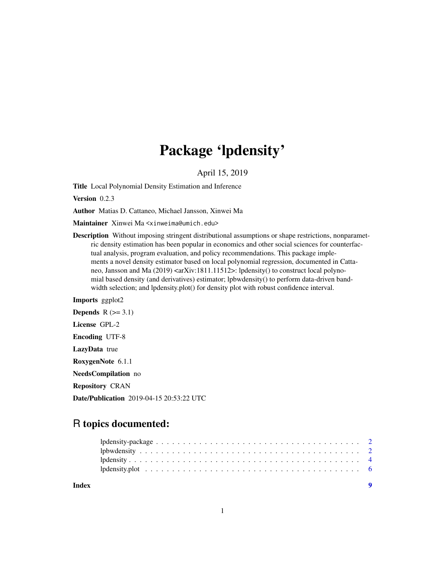## Package 'lpdensity'

April 15, 2019

<span id="page-0-0"></span>Title Local Polynomial Density Estimation and Inference

Version 0.2.3

Author Matias D. Cattaneo, Michael Jansson, Xinwei Ma

Maintainer Xinwei Ma <xinweima@umich.edu>

Description Without imposing stringent distributional assumptions or shape restrictions, nonparametric density estimation has been popular in economics and other social sciences for counterfactual analysis, program evaluation, and policy recommendations. This package implements a novel density estimator based on local polynomial regression, documented in Cattaneo, Jansson and Ma (2019) <arXiv:1811.11512>: lpdensity() to construct local polynomial based density (and derivatives) estimator; lpbwdensity() to perform data-driven bandwidth selection; and lpdensity.plot() for density plot with robust confidence interval.

Imports ggplot2 Depends  $R$  ( $>= 3.1$ ) License GPL-2 Encoding UTF-8 LazyData true RoxygenNote 6.1.1 NeedsCompilation no Repository CRAN Date/Publication 2019-04-15 20:53:22 UTC

## R topics documented:

| Index |  |  |  |  |  |  |  |  |  |  |  |  |  |  |  |  |  |
|-------|--|--|--|--|--|--|--|--|--|--|--|--|--|--|--|--|--|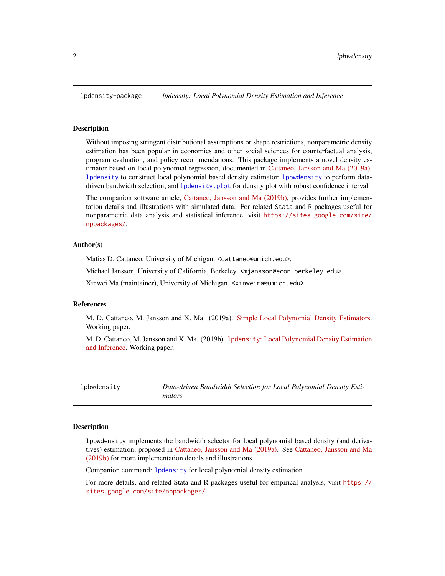<span id="page-1-0"></span>

#### Description

Without imposing stringent distributional assumptions or shape restrictions, nonparametric density estimation has been popular in economics and other social sciences for counterfactual analysis, program evaluation, and policy recommendations. This package implements a novel density estimator based on local polynomial regression, documented in [Cattaneo, Jansson and Ma \(2019a\):](https://arxiv.org/abs/1811.11512) [lpdensity](#page-3-1) to construct local polynomial based density estimator; [lpbwdensity](#page-1-1) to perform datadriven bandwidth selection; and [lpdensity.plot](#page-5-1) for density plot with robust confidence interval.

The companion software article, [Cattaneo, Jansson and Ma \(2019b\),](https://sites.google.com/site/nppackages/lpdensity/Cattaneo-Jansson-Ma_2019_lpdensity.pdf?attredirects=0) provides further implementation details and illustrations with simulated data. For related Stata and R packages useful for nonparametric data analysis and statistical inference, visit [https://sites.google.com/site/](https://sites.google.com/site/nppackages/) [nppackages/](https://sites.google.com/site/nppackages/).

#### Author(s)

Matias D. Cattaneo, University of Michigan. <cattaneo@umich.edu>.

Michael Jansson, University of California, Berkeley. <mjansson@econ.berkeley.edu>.

Xinwei Ma (maintainer), University of Michigan. <xinweima@umich.edu>.

#### References

M. D. Cattaneo, M. Jansson and X. Ma. (2019a). [Simple Local Polynomial Density Estimators.](https://arxiv.org/abs/1811.11512) Working paper.

M. D. Cattaneo, M. Jansson and X. Ma. (2019b). lpdensity[: Local Polynomial Density Estimation](https://sites.google.com/site/nppackages/lpdensity/Cattaneo-Jansson-Ma_2019_lpdensity.pdf?attredirects=0) [and Inference.](https://sites.google.com/site/nppackages/lpdensity/Cattaneo-Jansson-Ma_2019_lpdensity.pdf?attredirects=0) Working paper.

<span id="page-1-1"></span>lpbwdensity *Data-driven Bandwidth Selection for Local Polynomial Density Estimators*

#### Description

lpbwdensity implements the bandwidth selector for local polynomial based density (and derivatives) estimation, proposed in [Cattaneo, Jansson and Ma \(2019a\).](https://arxiv.org/abs/1811.11512) See [Cattaneo, Jansson and Ma](https://sites.google.com/site/nppackages/lpdensity/Cattaneo-Jansson-Ma_2019_lpdensity.pdf?attredirects=0) [\(2019b\)](https://sites.google.com/site/nppackages/lpdensity/Cattaneo-Jansson-Ma_2019_lpdensity.pdf?attredirects=0) for more implementation details and illustrations.

Companion command: [lpdensity](#page-3-1) for local polynomial density estimation.

For more details, and related Stata and R packages useful for empirical analysis, visit [https://](https://sites.google.com/site/nppackages/) [sites.google.com/site/nppackages/](https://sites.google.com/site/nppackages/).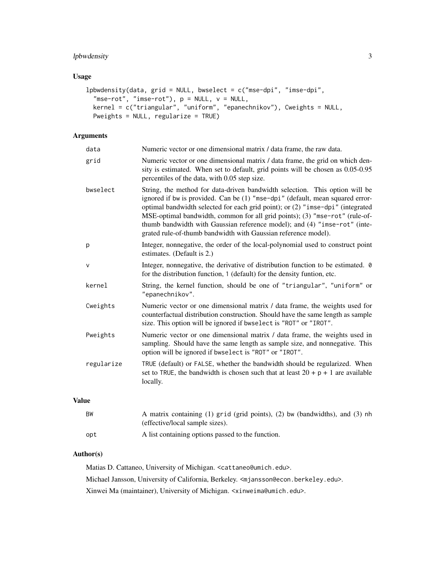#### lpbwdensity 3

#### Usage

```
lpbwdensity(data, grid = NULL, bwselect = c("mse-dpi", "imse-dpi",
  "mse-rot", "imse-rot"), p = NULL, v = NULL,
 kernel = c("triangular", "uniform", "epanechnikov"), Cweights = NULL,
 Pweights = NULL, regularize = TRUE)
```
### Arguments

| data         | Numeric vector or one dimensional matrix / data frame, the raw data.                                                                                                                                                                                                                                                                                                                                                                                                         |
|--------------|------------------------------------------------------------------------------------------------------------------------------------------------------------------------------------------------------------------------------------------------------------------------------------------------------------------------------------------------------------------------------------------------------------------------------------------------------------------------------|
| grid         | Numeric vector or one dimensional matrix / data frame, the grid on which den-<br>sity is estimated. When set to default, grid points will be chosen as 0.05-0.95<br>percentiles of the data, with 0.05 step size.                                                                                                                                                                                                                                                            |
| bwselect     | String, the method for data-driven bandwidth selection. This option will be<br>ignored if bw is provided. Can be (1) "mse-dpi" (default, mean squared error-<br>optimal bandwidth selected for each grid point); or (2) "imse-dpi" (integrated<br>MSE-optimal bandwidth, common for all grid points); (3) "mse-rot" (rule-of-<br>thumb bandwidth with Gaussian reference model); and (4) "imse-rot" (inte-<br>grated rule-of-thumb bandwidth with Gaussian reference model). |
| p            | Integer, nonnegative, the order of the local-polynomial used to construct point<br>estimates. (Default is 2.)                                                                                                                                                                                                                                                                                                                                                                |
| $\mathsf{v}$ | Integer, nonnegative, the derivative of distribution function to be estimated. 0<br>for the distribution function, 1 (default) for the density funtion, etc.                                                                                                                                                                                                                                                                                                                 |
| kernel       | String, the kernel function, should be one of "triangular", "uniform" or<br>"epanechnikov".                                                                                                                                                                                                                                                                                                                                                                                  |
| Cweights     | Numeric vector or one dimensional matrix / data frame, the weights used for<br>counterfactual distribution construction. Should have the same length as sample<br>size. This option will be ignored if bwselect is "ROT" or "IROT".                                                                                                                                                                                                                                          |
| Pweights     | Numeric vector or one dimensional matrix / data frame, the weights used in<br>sampling. Should have the same length as sample size, and nonnegative. This<br>option will be ignored if bwselect is "ROT" or "IROT".                                                                                                                                                                                                                                                          |
| regularize   | TRUE (default) or FALSE, whether the bandwidth should be regularized. When<br>set to TRUE, the bandwidth is chosen such that at least $20 + p + 1$ are available<br>locally.                                                                                                                                                                                                                                                                                                 |
| <b>Value</b> |                                                                                                                                                                                                                                                                                                                                                                                                                                                                              |
| <b>BW</b>    | A matrix containing (1) grid (grid points), (2) bw (bandwidths), and (3) nh<br>(effective/local sample sizes).                                                                                                                                                                                                                                                                                                                                                               |

opt A list containing options passed to the function.

#### Author(s)

Matias D. Cattaneo, University of Michigan. <cattaneo@umich.edu>. Michael Jansson, University of California, Berkeley. <mjansson@econ.berkeley.edu>. Xinwei Ma (maintainer), University of Michigan. <xinweima@umich.edu>.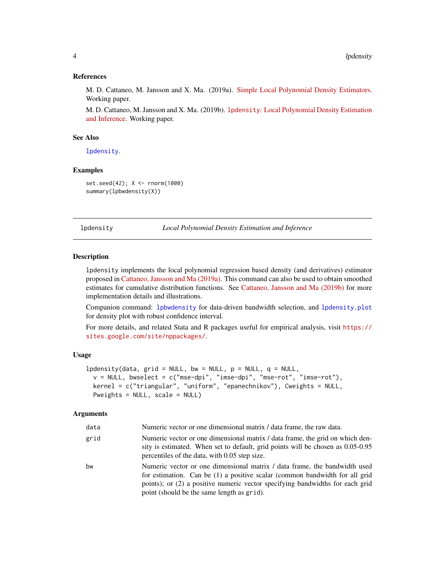#### <span id="page-3-0"></span>References

M. D. Cattaneo, M. Jansson and X. Ma. (2019a). [Simple Local Polynomial Density Estimators.](https://arxiv.org/abs/1811.11512) Working paper.

M. D. Cattaneo, M. Jansson and X. Ma. (2019b). lpdensity[: Local Polynomial Density Estimation](https://sites.google.com/site/nppackages/lpdensity/Cattaneo-Jansson-Ma_2019_lpdensity.pdf?attredirects=0) [and Inference.](https://sites.google.com/site/nppackages/lpdensity/Cattaneo-Jansson-Ma_2019_lpdensity.pdf?attredirects=0) Working paper.

#### See Also

[lpdensity](#page-3-1).

#### Examples

set.seed(42); X <- rnorm(1000) summary(lpbwdensity(X))

<span id="page-3-1"></span>lpdensity *Local Polynomial Density Estimation and Inference*

#### **Description**

lpdensity implements the local polynomial regression based density (and derivatives) estimator proposed in [Cattaneo, Jansson and Ma \(2019a\).](https://arxiv.org/abs/1811.11512) This command can also be used to obtain smoothed estimates for cumulative distribution functions. See [Cattaneo, Jansson and Ma \(2019b\)](https://sites.google.com/site/nppackages/lpdensity/Cattaneo-Jansson-Ma_2019_lpdensity.pdf?attredirects=0) for more implementation details and illustrations.

Companion command: [lpbwdensity](#page-1-1) for data-driven bandwidth selection, and [lpdensity.plot](#page-5-1) for density plot with robust confidence interval.

For more details, and related Stata and R packages useful for empirical analysis, visit [https://](https://sites.google.com/site/nppackages/) [sites.google.com/site/nppackages/](https://sites.google.com/site/nppackages/).

#### Usage

```
lpdensity(data, grid = NULL, bw = NULL, p = NULL, q = NULL,
 v = NULL, bwselect = c("mse-dpi", "imse-dpi", "mse-rot", "imse-rot"),
 kernel = c("triangular", "uniform", "epanechnikov"), Cweights = NULL,
 Pweights = NULL, scale = NULL)
```
#### Arguments

| data | Numeric vector or one dimensional matrix / data frame, the raw data.                                                                                                                                                                                                                    |
|------|-----------------------------------------------------------------------------------------------------------------------------------------------------------------------------------------------------------------------------------------------------------------------------------------|
| grid | Numeric vector or one dimensional matrix / data frame, the grid on which den-<br>sity is estimated. When set to default, grid points will be chosen as 0.05-0.95<br>percentiles of the data, with 0.05 step size.                                                                       |
| bw   | Numeric vector or one dimensional matrix / data frame, the bandwidth used<br>for estimation. Can be (1) a positive scalar (common bandwidth for all grid<br>points); or (2) a positive numeric vector specifying bandwidths for each grid<br>point (should be the same length as grid). |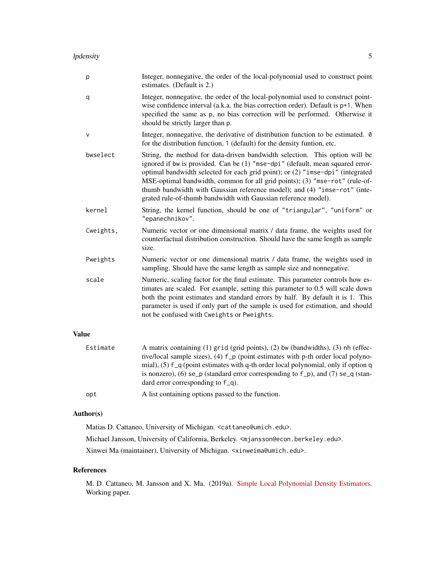| р            | Integer, nonnegative, the order of the local-polynomial used to construct point<br>estimates. (Default is 2.)                                                                                                                                                                                                                                                                                                                                                                |
|--------------|------------------------------------------------------------------------------------------------------------------------------------------------------------------------------------------------------------------------------------------------------------------------------------------------------------------------------------------------------------------------------------------------------------------------------------------------------------------------------|
| q            | Integer, nonnegative, the order of the local-polynomial used to construct point-<br>wise confidence interval (a.k.a. the bias correction order). Default is p+1. When<br>specified the same as p, no bias correction will be performed. Otherwise it<br>should be strictly larger than p.                                                                                                                                                                                    |
| v            | Integer, nonnegative, the derivative of distribution function to be estimated. 0<br>for the distribution function, 1 (default) for the density funtion, etc.                                                                                                                                                                                                                                                                                                                 |
| bwselect     | String, the method for data-driven bandwidth selection. This option will be<br>ignored if bw is provided. Can be (1) "mse-dpi" (default, mean squared error-<br>optimal bandwidth selected for each grid point); or (2) "imse-dpi" (integrated<br>MSE-optimal bandwidth, common for all grid points); (3) "mse-rot" (rule-of-<br>thumb bandwidth with Gaussian reference model); and (4) "imse-rot" (inte-<br>grated rule-of-thumb bandwidth with Gaussian reference model). |
| kernel       | String, the kernel function, should be one of "triangular", "uniform" or<br>"epanechnikov".                                                                                                                                                                                                                                                                                                                                                                                  |
| Cweights,    | Numeric vector or one dimensional matrix / data frame, the weights used for<br>counterfactual distribution construction. Should have the same length as sample<br>size.                                                                                                                                                                                                                                                                                                      |
| Pweights     | Numeric vector or one dimensional matrix / data frame, the weights used in<br>sampling. Should have the same length as sample size and nonnegative.                                                                                                                                                                                                                                                                                                                          |
| scale        | Numeric, scaling factor for the final estimate. This parameter controls how es-<br>timates are scaled. For example, setting this parameter to 0.5 will scale down<br>both the point estimates and standard errors by half. By default it is 1. This<br>parameter is used if only part of the sample is used for estimation, and should<br>not be confused with Cweights or Pweights.                                                                                         |
| <b>Value</b> |                                                                                                                                                                                                                                                                                                                                                                                                                                                                              |
| Estimate     | A matrix containing (1) grid (grid points), (2) bw (bandwidths), (3) nh (effec-<br>tive/local sample sizes), (4) f_p (point estimates with p-th order local polyno-<br>mial), (5) f_q (point estimates with q-th order local polynomial, only if option q<br>is nonzero), (6) se_p (standard error corresponding to $f_p$ ), and (7) se_q (stan-<br>dard error corresponding to $f_q$ .                                                                                      |

#### Author(s)

Matias D. Cattaneo, University of Michigan. <cattaneo@umich.edu>.

opt A list containing options passed to the function.

Michael Jansson, University of California, Berkeley. <mjansson@econ.berkeley.edu>.

Xinwei Ma (maintainer), University of Michigan. <xinweima@umich.edu>.

#### References

M. D. Cattaneo, M. Jansson and X. Ma. (2019a). [Simple Local Polynomial Density Estimators.](https://arxiv.org/abs/1811.11512) Working paper.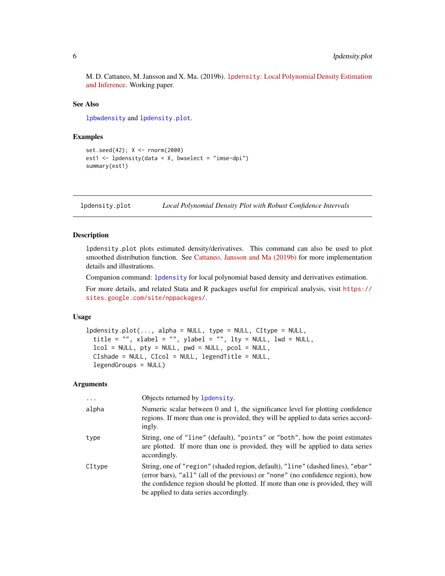<span id="page-5-0"></span>M. D. Cattaneo, M. Jansson and X. Ma. (2019b). lpdensity[: Local Polynomial Density Estimation](https://sites.google.com/site/nppackages/lpdensity/Cattaneo-Jansson-Ma_2019_lpdensity.pdf?attredirects=0) [and Inference.](https://sites.google.com/site/nppackages/lpdensity/Cattaneo-Jansson-Ma_2019_lpdensity.pdf?attredirects=0) Working paper.

#### See Also

[lpbwdensity](#page-1-1) and [lpdensity.plot](#page-5-1).

#### Examples

```
set.seed(42); X <- rnorm(2000)
est1 <- lpdensity(data = X, bwselect = "imse-dpi")
summary(est1)
```
<span id="page-5-1"></span>lpdensity.plot *Local Polynomial Density Plot with Robust Confidence Intervals*

#### Description

lpdensity.plot plots estimated density/derivatives. This command can also be used to plot smoothed distribution function. See [Cattaneo, Jansson and Ma \(2019b\)](https://sites.google.com/site/nppackages/lpdensity/Cattaneo-Jansson-Ma_2019_lpdensity.pdf?attredirects=0) for more implementation details and illustrations.

Companion command: [lpdensity](#page-3-1) for local polynomial based density and derivatives estimation.

For more details, and related Stata and R packages useful for empirical analysis, visit [https://](https://sites.google.com/site/nppackages/) [sites.google.com/site/nppackages/](https://sites.google.com/site/nppackages/).

#### Usage

```
lpdensity.plot(..., alpha = NULL, type = NULL, CItype = NULL,
  title = ", xlabel = ", ylabel = ", lty = NULL, lwd = NULL,
  lcol = NULL, pty = NULL, pwd = NULL, pcol = NULL,CIshade = NULL, CIcol = NULL, legendTitle = NULL,
  legendGroups = NULL)
```
#### Arguments

| $\cdots$ | Objects returned by Ipdensity.                                                                                                                                                                                                                                                                   |
|----------|--------------------------------------------------------------------------------------------------------------------------------------------------------------------------------------------------------------------------------------------------------------------------------------------------|
| alpha    | Numeric scalar between 0 and 1, the significance level for plotting confidence<br>regions. If more than one is provided, they will be applied to data series accord-<br>ingly.                                                                                                                   |
| type     | String, one of "line" (default), "points" or "both", how the point estimates<br>are plotted. If more than one is provided, they will be applied to data series<br>accordingly.                                                                                                                   |
| CItype   | String, one of "region" (shaded region, default), "line" (dashed lines), "ebar"<br>(error bars), "all" (all of the previous) or "none" (no confidence region), how<br>the confidence region should be plotted. If more than one is provided, they will<br>be applied to data series accordingly. |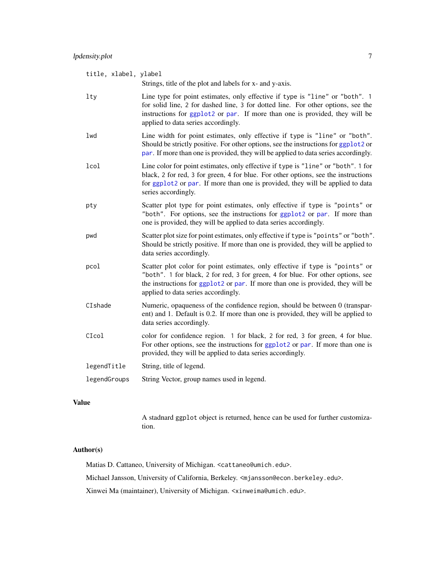<span id="page-6-0"></span>

| title, xlabel, ylabel | Strings, title of the plot and labels for x- and y-axis.                                                                                                                                                                                                                                   |
|-----------------------|--------------------------------------------------------------------------------------------------------------------------------------------------------------------------------------------------------------------------------------------------------------------------------------------|
| $1$ ty                | Line type for point estimates, only effective if type is "line" or "both". 1<br>for solid line, 2 for dashed line, 3 for dotted line. For other options, see the<br>instructions for ggplot2 or par. If more than one is provided, they will be<br>applied to data series accordingly.     |
| lwd                   | Line width for point estimates, only effective if type is "line" or "both".<br>Should be strictly positive. For other options, see the instructions for ggplot2 or<br>par. If more than one is provided, they will be applied to data series accordingly.                                  |
| lcol                  | Line color for point estimates, only effective if type is "line" or "both". 1 for<br>black, 2 for red, 3 for green, 4 for blue. For other options, see the instructions<br>for ggplot2 or par. If more than one is provided, they will be applied to data<br>series accordingly.           |
| pty                   | Scatter plot type for point estimates, only effective if type is "points" or<br>"both". For options, see the instructions for ggplot2 or par. If more than<br>one is provided, they will be applied to data series accordingly.                                                            |
| pwd                   | Scatter plot size for point estimates, only effective if type is "points" or "both".<br>Should be strictly positive. If more than one is provided, they will be applied to<br>data series accordingly.                                                                                     |
| pcol                  | Scatter plot color for point estimates, only effective if type is "points" or<br>"both". 1 for black, 2 for red, 3 for green, 4 for blue. For other options, see<br>the instructions for ggplot2 or par. If more than one is provided, they will be<br>applied to data series accordingly. |
| CIshade               | Numeric, opaqueness of the confidence region, should be between 0 (transpar-<br>ent) and 1. Default is 0.2. If more than one is provided, they will be applied to<br>data series accordingly.                                                                                              |
| CIcol                 | color for confidence region. 1 for black, 2 for red, 3 for green, 4 for blue.<br>For other options, see the instructions for ggplot2 or par. If more than one is<br>provided, they will be applied to data series accordingly.                                                             |
| legendTitle           | String, title of legend.                                                                                                                                                                                                                                                                   |
| legendGroups          | String Vector, group names used in legend.                                                                                                                                                                                                                                                 |
|                       |                                                                                                                                                                                                                                                                                            |

#### Value

A stadnard ggplot object is returned, hence can be used for further customization.

#### Author(s)

Matias D. Cattaneo, University of Michigan. <cattaneo@umich.edu>.

Michael Jansson, University of California, Berkeley. <mjansson@econ.berkeley.edu>.

Xinwei Ma (maintainer), University of Michigan. <xinweima@umich.edu>.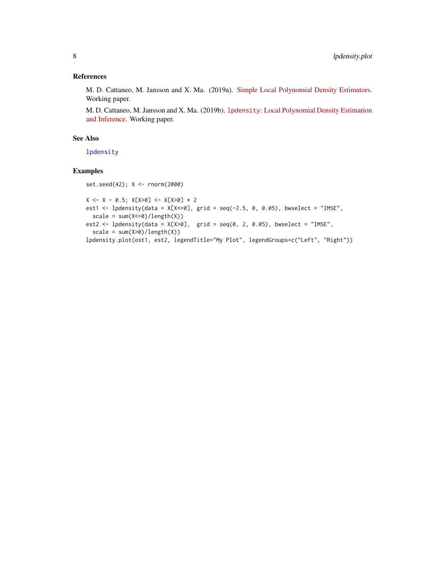#### <span id="page-7-0"></span>References

M. D. Cattaneo, M. Jansson and X. Ma. (2019a). [Simple Local Polynomial Density Estimators.](https://arxiv.org/abs/1811.11512) Working paper.

M. D. Cattaneo, M. Jansson and X. Ma. (2019b). lpdensity[: Local Polynomial Density Estimation](https://sites.google.com/site/nppackages/lpdensity/Cattaneo-Jansson-Ma_2019_lpdensity.pdf?attredirects=0) [and Inference.](https://sites.google.com/site/nppackages/lpdensity/Cattaneo-Jansson-Ma_2019_lpdensity.pdf?attredirects=0) Working paper.

#### See Also

[lpdensity](#page-3-1)

#### Examples

```
set.seed(42); X <- rnorm(2000)
```

```
X \leftarrow X - 0.5; X[X>0] \leftarrow X[X>0] * 2est1 <- lpdensity(data = X[X\le 0], grid = seq(-2.5, 0, 0.05), bwselect = "IMSE",
  scale = sum(X<=0)/length(X))est2 <- lpdensity(data = X[X>0], grid = seq(0, 2, 0.05), bwselect = "IMSE",
  scale = sum(X>0)/length(X))lpdensity.plot(est1, est2, legendTitle="My Plot", legendGroups=c("Left", "Right"))
```